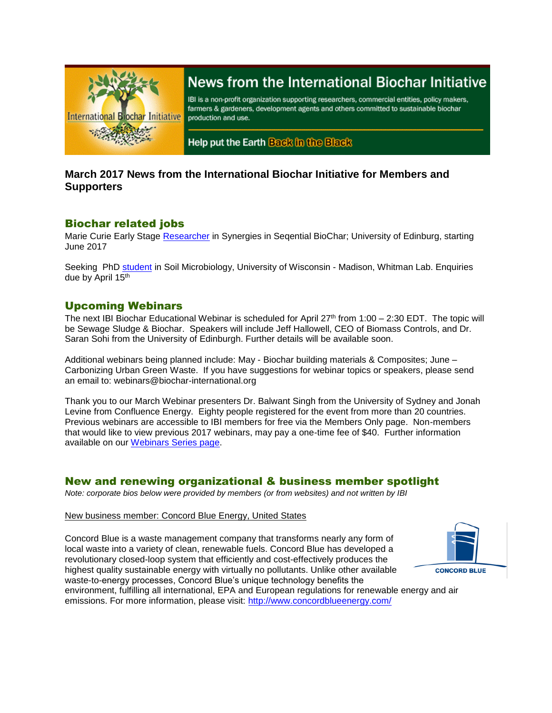

# News from the International Biochar Initiative

IBI is a non-profit organization supporting researchers, commercial entities, policy makers, farmers & gardeners, development agents and others committed to sustainable biochar production and use.

Help put the Earth Back in the Black

# **March 2017 News from the International Biochar Initiative for Members and Supporters**

### Biochar related jobs

Marie Curie Early Stage [Researcher](http://www.jobs.ac.uk/job/AXV415/marie-curie-early-stage-researcher-in-synergies-in-seqential-biochar/) in Synergies in Seqential BioChar; University of Edinburg, starting June 2017

Seeking PhD [student](https://whitmanlab.soils.wisc.edu/2017/03/27/recruiting-phd-student-in-soil-microbiology/) in Soil Microbiology, University of Wisconsin - Madison, Whitman Lab. Enquiries due by April 15th

## Upcoming Webinars

The next IBI Biochar Educational Webinar is scheduled for April  $27<sup>th</sup>$  from  $1:00 - 2:30$  EDT. The topic will be Sewage Sludge & Biochar. Speakers will include Jeff Hallowell, CEO of Biomass Controls, and Dr. Saran Sohi from the University of Edinburgh. Further details will be available soon.

Additional webinars being planned include: May - Biochar building materials & Composites; June – Carbonizing Urban Green Waste. If you have suggestions for webinar topics or speakers, please send an email to: webinars@biochar-international.org

Thank you to our March Webinar presenters Dr. Balwant Singh from the University of Sydney and Jonah Levine from Confluence Energy. Eighty people registered for the event from more than 20 countries. Previous webinars are accessible to IBI members for free via the Members Only page. Non-members that would like to view previous 2017 webinars, may pay a one-time fee of \$40. Further information available on our [Webinars Series page.](http://biochar-international.org/webinar_series)

## New and renewing organizational & business member spotlight

*Note: corporate bios below were provided by members (or from websites) and not written by IBI*

#### New business member: Concord Blue Energy, United States

Concord Blue is a waste management company that transforms nearly any form of local waste into a variety of clean, renewable fuels. Concord Blue has developed a revolutionary closed-loop system that efficiently and cost-effectively produces the highest quality sustainable energy with virtually no pollutants. Unlike other available waste-to-energy processes, Concord Blue's unique technology benefits the



environment, fulfilling all international, EPA and European regulations for renewable energy and air emissions. For more information, please visit:<http://www.concordblueenergy.com/>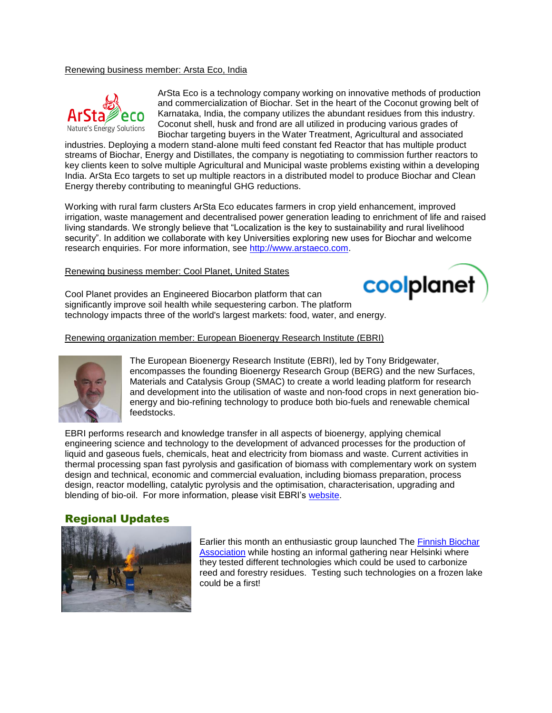#### Renewing business member: Arsta Eco, India



ArSta Eco is a technology company working on innovative methods of production and commercialization of Biochar. Set in the heart of the Coconut growing belt of Karnataka, India, the company utilizes the abundant residues from this industry. Coconut shell, husk and frond are all utilized in producing various grades of Biochar targeting buyers in the Water Treatment, Agricultural and associated

industries. Deploying a modern stand-alone multi feed constant fed Reactor that has multiple product streams of Biochar, Energy and Distillates, the company is negotiating to commission further reactors to key clients keen to solve multiple Agricultural and Municipal waste problems existing within a developing India. ArSta Eco targets to set up multiple reactors in a distributed model to produce Biochar and Clean Energy thereby contributing to meaningful GHG reductions.

Working with rural farm clusters ArSta Eco educates farmers in crop yield enhancement, improved irrigation, waste management and decentralised power generation leading to enrichment of life and raised living standards. We strongly believe that "Localization is the key to sustainability and rural livelihood security". In addition we collaborate with key Universities exploring new uses for Biochar and welcome research enquiries. For more information, see [http://www.arstaeco.com.](http://www.arstaeco.com/)

#### Renewing business member: Cool Planet, United States



Cool Planet provides an Engineered Biocarbon platform that can significantly improve soil health while sequestering carbon. The platform technology impacts three of the world's largest markets: food, water, and energy.

Renewing organization member: European Bioenergy Research Institute (EBRI)



The European Bioenergy Research Institute (EBRI), led by Tony Bridgewater, encompasses the founding Bioenergy Research Group (BERG) and the new Surfaces, Materials and Catalysis Group (SMAC) to create a world leading platform for research and development into the utilisation of waste and non-food crops in next generation bioenergy and bio-refining technology to produce both bio-fuels and renewable chemical feedstocks.

EBRI performs research and knowledge transfer in all aspects of bioenergy, applying chemical engineering science and technology to the development of advanced processes for the production of liquid and gaseous fuels, chemicals, heat and electricity from biomass and waste. Current activities in thermal processing span fast pyrolysis and gasification of biomass with complementary work on system design and technical, economic and commercial evaluation, including biomass preparation, process design, reactor modelling, catalytic pyrolysis and the optimisation, characterisation, upgrading and blending of bio-oil. For more information, please visit EBRI's [website.](http://www.aston.ac.uk/eas/research/groups/ebri/)

### Regional Updates



Earlier this month an enthusiastic group launched The [Finnish Biochar](http://biochar-hy.blogspot.com/)  [Association](http://biochar-hy.blogspot.com/) while hosting an informal gathering near Helsinki where they tested different technologies which could be used to carbonize reed and forestry residues. Testing such technologies on a frozen lake could be a first!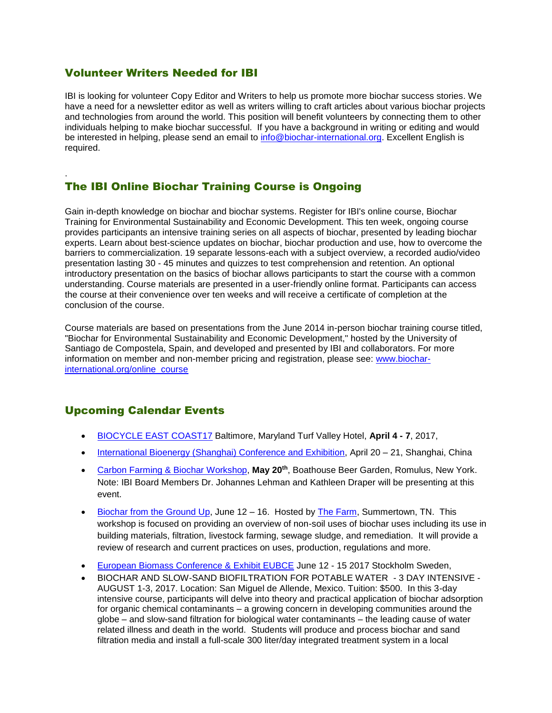# Volunteer Writers Needed for IBI

.

IBI is looking for volunteer Copy Editor and Writers to help us promote more biochar success stories. We have a need for a newsletter editor as well as writers willing to craft articles about various biochar projects and technologies from around the world. This position will benefit volunteers by connecting them to other individuals helping to make biochar successful. If you have a background in writing or editing and would be interested in helping, please send an email to [info@biochar-international.org.](mailto:info@biochar-international.org) Excellent English is required.

# The IBI Online Biochar Training Course is Ongoing

Gain in-depth knowledge on biochar and biochar systems. Register for IBI's online course, Biochar Training for Environmental Sustainability and Economic Development. This ten week, ongoing course provides participants an intensive training series on all aspects of biochar, presented by leading biochar experts. Learn about best-science updates on biochar, biochar production and use, how to overcome the barriers to commercialization. 19 separate lessons-each with a subject overview, a recorded audio/video presentation lasting 30 - 45 minutes and quizzes to test comprehension and retention. An optional introductory presentation on the basics of biochar allows participants to start the course with a common understanding. Course materials are presented in a user-friendly online format. Participants can access the course at their convenience over ten weeks and will receive a certificate of completion at the conclusion of the course.

Course materials are based on presentations from the June 2014 in-person biochar training course titled, "Biochar for Environmental Sustainability and Economic Development," hosted by the University of Santiago de Compostela, Spain, and developed and presented by IBI and collaborators. For more information on member and non-member pricing and registration, please see: [www.biochar](http://www.biochar-international.org/online_course)[international.org/online\\_course](http://www.biochar-international.org/online_course)

# Upcoming Calendar Events

- [BIOCYCLE EAST COAST17](http://www.biocycleeastcoast.com/) Baltimore, Maryland Turf Valley Hotel, **April 4 - 7**, 2017,
- [International Bioenergy \(Shanghai\) Conference and Exhibition,](http://www.ibsce.com/wp/) April 20 21, Shanghai, China
- [Carbon Farming & Biochar Workshop,](http://www.brownpapertickets.com/event/2899484) **May 20th**, Boathouse Beer Garden, Romulus, New York. Note: IBI Board Members Dr. Johannes Lehman and Kathleen Draper will be presenting at this event.
- [Biochar from the Ground Up,](http://www.thefarm.org/evrplus_registration/?action=evrplusegister&event_id=43) June 12 16. Hosted by [The Farm,](http://thefarmcommunity.com/) Summertown, TN. This workshop is focused on providing an overview of non-soil uses of biochar uses including its use in building materials, filtration, livestock farming, sewage sludge, and remediation. It will provide a review of research and current practices on uses, production, regulations and more.
- [European Biomass Conference & Exhibit EUBCE](http://www.eubce.com/exhibition/list-of-exhibitors/dorset-green-machines-bv.html) June 12 15 2017 Stockholm Sweden,
- BIOCHAR AND SLOW-SAND BIOFILTRATION FOR POTABLE WATER 3 DAY INTENSIVE AUGUST 1-3, 2017. Location: San Miguel de Allende, Mexico. Tuition: \$500. In this 3-day intensive course, participants will delve into theory and practical application of biochar adsorption for organic chemical contaminants – a growing concern in developing communities around the globe – and slow-sand filtration for biological water contaminants – the leading cause of water related illness and death in the world. Students will produce and process biochar and sand filtration media and install a full-scale 300 liter/day integrated treatment system in a local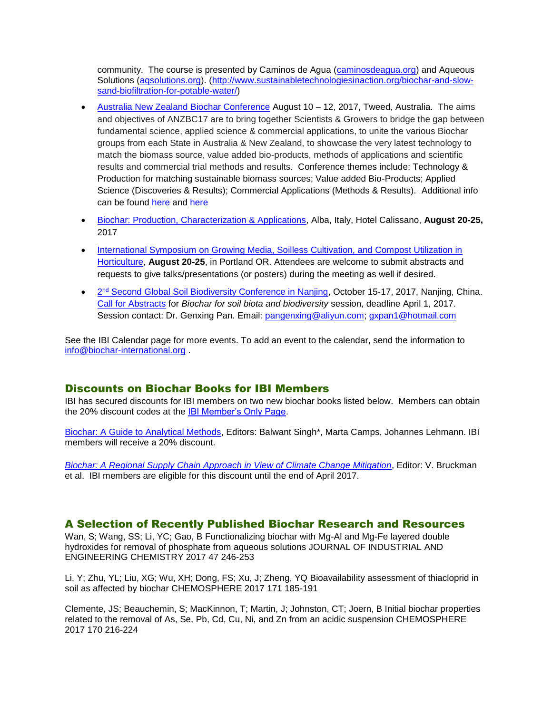community. The course is presented by Caminos de Agua [\(caminosdeagua.org\)](http://caminosdeagua.org/) and Aqueous Solutions [\(aqsolutions.org\)](http://aqsolutions.org/). [\(http://www.sustainabletechnologiesinaction.org/biochar-and-slow](http://www.sustainabletechnologiesinaction.org/biochar-and-slow-sand-biofiltration-for-potable-water/)[sand-biofiltration-for-potable-water/\)](http://www.sustainabletechnologiesinaction.org/biochar-and-slow-sand-biofiltration-for-potable-water/)

- [Australia New Zealand Biochar Conference](https://anzbc.org.au/) August 10 12, 2017, Tweed, Australia. The aims and objectives of ANZBC17 are to bring together Scientists & Growers to bridge the gap between fundamental science, applied science & commercial applications, to unite the various Biochar groups from each State in Australia & New Zealand, to showcase the very latest technology to match the biomass source, value added bio-products, methods of applications and scientific results and commercial trial methods and results. Conference themes include: Technology & Production for matching sustainable biomass sources; Value added Bio-Products; Applied Science (Discoveries & Results); Commercial Applications (Methods & Results). Additional info can be found [here](https://www.facebook.com/biocharfest/) and [here](https://www.facebook.com/events/945697935562027/)
- [Biochar: Production, Characterization & Applications,](http://www.engconf.org/biochar-production-characterization-and-applications/) Alba, Italy, Hotel Calissano, **August 20-25,** 2017
- **International Symposium on Growing Media, Soilless Cultivation, and Compost Utilization in** [Horticulture,](http://newbeginningsmanagement.com/compsubsci2017/) **August 20-25**, in Portland OR. Attendees are welcome to submit abstracts and requests to give talks/presentations (or posters) during the meeting as well if desired.
- <sup>o</sup> 2<sup>nd</sup> [Second Global Soil Biodiversity Conference in Nanjing,](http://gsbc2.csp.escience.cn/dct/page/1) October 15-17, 2017, Nanjing, China. [Call for Abstracts](http://gsbc2.csp.escience.cn/dct/page/70022) for *Biochar for soil biota and biodiversity* session, deadline April 1, 2017. Session contact: Dr. Genxing Pan. Email: [pangenxing@aliyun.com;](mailto:pangenxing@aliyun.com) [gxpan1@hotmail.com](mailto:gxpan1@hotmail.com)

See the IBI Calendar page for more events. To add an event to the calendar, send the information to [info@biochar-international.org](mailto:info@biochar-international.org) .

### Discounts on Biochar Books for IBI Members

IBI has secured discounts for IBI members on two new biochar books listed below. Members can obtain the 20% discount codes at the [IBI Member's Only Page.](https://ibi.memberclicks.net/member-landing-page)

[Biochar: A Guide to Analytical Methods,](https://www.crcpress.com/Biochar-A-Guide-to-Analytical-Methods/Singh-Arbestain-Lehmann/p/book/9781498765534?utm_source=banner_ad&utm_medium=banner&utm_campaign=170301235%0d) Editors: Balwant Singh\*, Marta Camps, Johannes Lehmann. IBI members will receive a 20% discount.

*Biochar: A Regional Supply Chain [Approach in View of Climate Change Mitigation](http://www.cambridge.org/us/academic/subjects/earth-and-environmental-science/soil-science/biochar-regional-supply-chain-approach-view-climate-change-mitigation?format=HB)*, Editor: V. Bruckman et al. IBI members are eligible for this discount until the end of April 2017.

### A Selection of Recently Published Biochar Research and Resources

Wan, S; Wang, SS; Li, YC; Gao, B Functionalizing biochar with Mg-Al and Mg-Fe layered double hydroxides for removal of phosphate from aqueous solutions JOURNAL OF INDUSTRIAL AND ENGINEERING CHEMISTRY 2017 47 246-253

Li, Y; Zhu, YL; Liu, XG; Wu, XH; Dong, FS; Xu, J; Zheng, YQ Bioavailability assessment of thiacloprid in soil as affected by biochar CHEMOSPHERE 2017 171 185-191

Clemente, JS; Beauchemin, S; MacKinnon, T; Martin, J; Johnston, CT; Joern, B Initial biochar properties related to the removal of As, Se, Pb, Cd, Cu, Ni, and Zn from an acidic suspension CHEMOSPHERE 2017 170 216-224